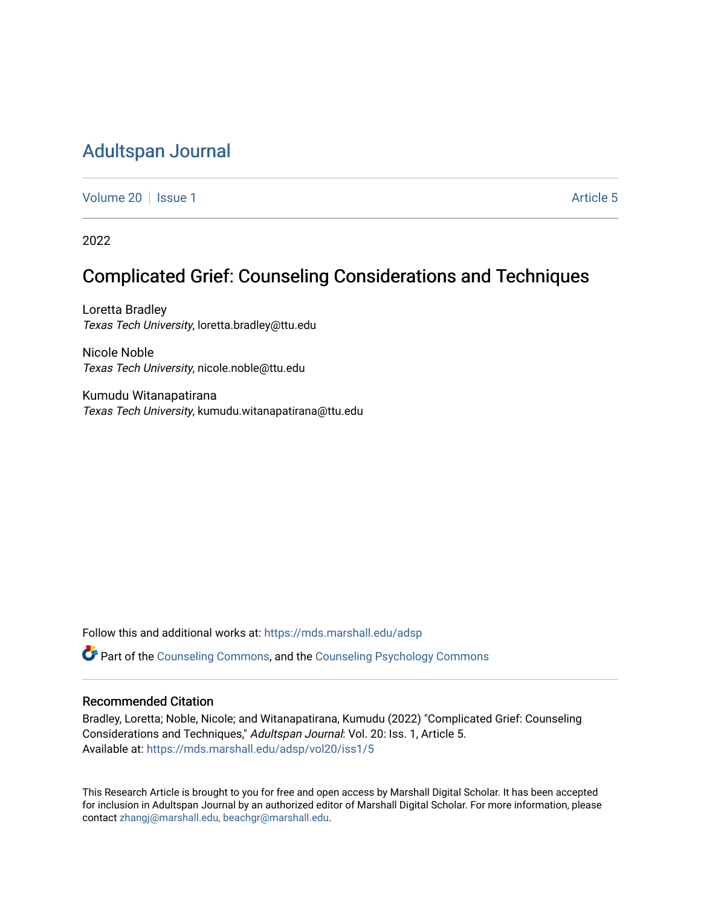# [Adultspan Journal](https://mds.marshall.edu/adsp)

[Volume 20](https://mds.marshall.edu/adsp/vol20) | [Issue 1](https://mds.marshall.edu/adsp/vol20/iss1) Article 5

2022

# Complicated Grief: Counseling Considerations and Techniques

Loretta Bradley Texas Tech University, loretta.bradley@ttu.edu

Nicole Noble Texas Tech University, nicole.noble@ttu.edu

Kumudu Witanapatirana Texas Tech University, kumudu.witanapatirana@ttu.edu

Follow this and additional works at: [https://mds.marshall.edu/adsp](https://mds.marshall.edu/adsp?utm_source=mds.marshall.edu%2Fadsp%2Fvol20%2Fiss1%2F5&utm_medium=PDF&utm_campaign=PDFCoverPages) 

Part of the [Counseling Commons,](https://network.bepress.com/hgg/discipline/1268?utm_source=mds.marshall.edu%2Fadsp%2Fvol20%2Fiss1%2F5&utm_medium=PDF&utm_campaign=PDFCoverPages) and the [Counseling Psychology Commons](https://network.bepress.com/hgg/discipline/1044?utm_source=mds.marshall.edu%2Fadsp%2Fvol20%2Fiss1%2F5&utm_medium=PDF&utm_campaign=PDFCoverPages)

### Recommended Citation

Bradley, Loretta; Noble, Nicole; and Witanapatirana, Kumudu (2022) "Complicated Grief: Counseling Considerations and Techniques," Adultspan Journal: Vol. 20: Iss. 1, Article 5. Available at: [https://mds.marshall.edu/adsp/vol20/iss1/5](https://mds.marshall.edu/adsp/vol20/iss1/5?utm_source=mds.marshall.edu%2Fadsp%2Fvol20%2Fiss1%2F5&utm_medium=PDF&utm_campaign=PDFCoverPages) 

This Research Article is brought to you for free and open access by Marshall Digital Scholar. It has been accepted for inclusion in Adultspan Journal by an authorized editor of Marshall Digital Scholar. For more information, please contact [zhangj@marshall.edu, beachgr@marshall.edu](mailto:zhangj@marshall.edu,%20beachgr@marshall.edu).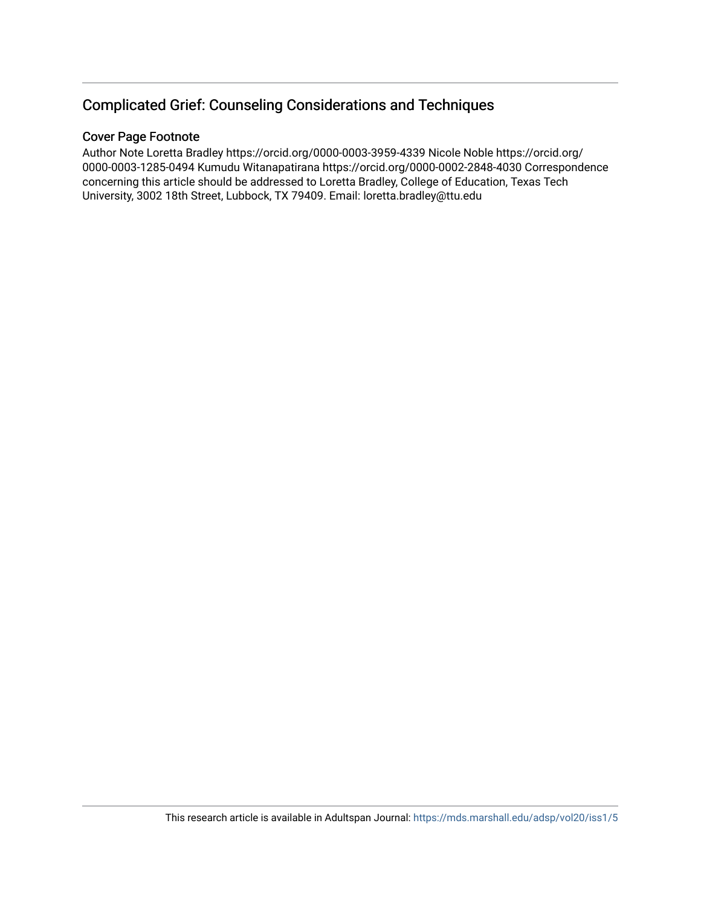## Complicated Grief: Counseling Considerations and Techniques

## Cover Page Footnote

Author Note Loretta Bradley https://orcid.org/0000-0003-3959-4339 Nicole Noble https://orcid.org/ 0000-0003-1285-0494 Kumudu Witanapatirana https://orcid.org/0000-0002-2848-4030 Correspondence concerning this article should be addressed to Loretta Bradley, College of Education, Texas Tech University, 3002 18th Street, Lubbock, TX 79409. Email: loretta.bradley@ttu.edu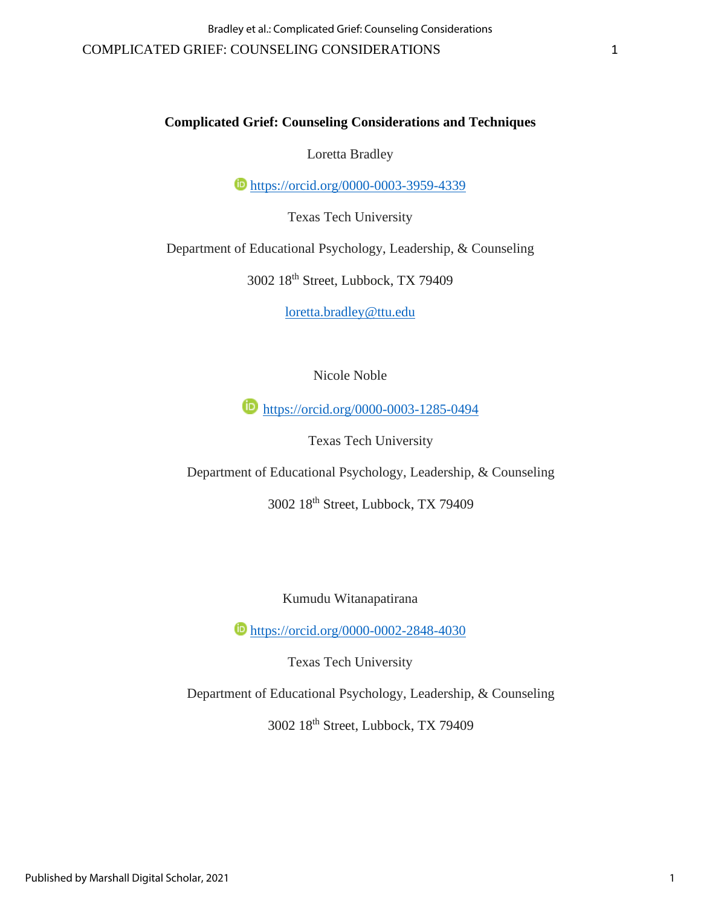## **Complicated Grief: Counseling Considerations and Techniques**

Loretta Bradley

**b** <https://orcid.org/0000-0003-3959-4339>

Texas Tech University

Department of Educational Psychology, Leadership, & Counseling

3002 18th Street, Lubbock, TX 79409

[loretta.bradley@ttu.edu](mailto:loretta.bradley@ttu.edu)

Nicole Noble

<https://orcid.org/0000-0003-1285-0494>

Texas Tech University

Department of Educational Psychology, Leadership, & Counseling

3002 18th Street, Lubbock, TX 79409

Kumudu Witanapatirana

**<https://orcid.org/0000-0002-2848-4030>** 

Texas Tech University

Department of Educational Psychology, Leadership, & Counseling

3002 18th Street, Lubbock, TX 79409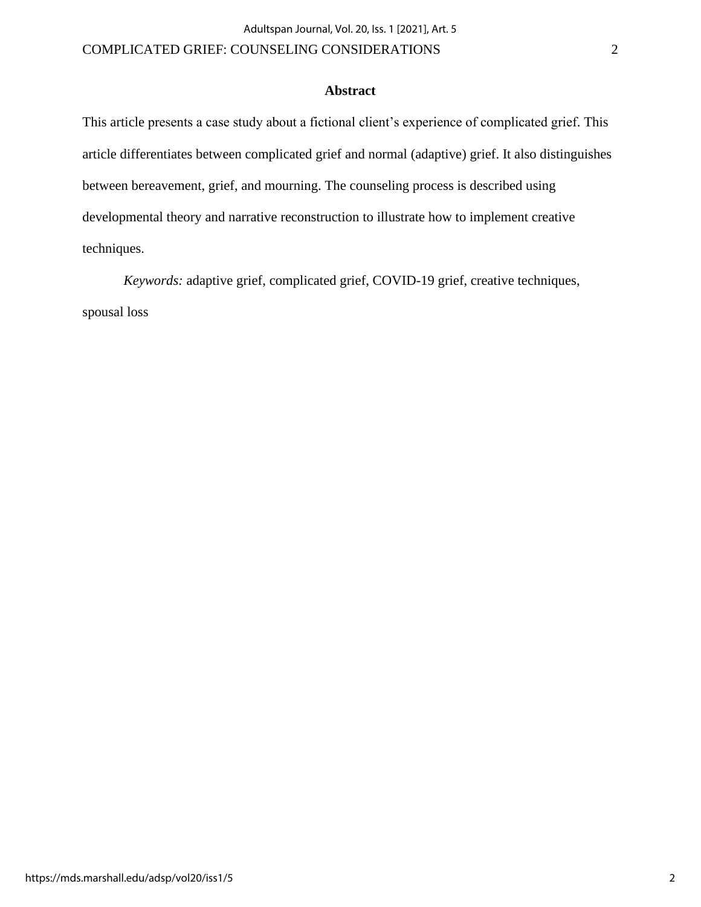## **Abstract**

This article presents a case study about a fictional client's experience of complicated grief. This article differentiates between complicated grief and normal (adaptive) grief. It also distinguishes between bereavement, grief, and mourning. The counseling process is described using developmental theory and narrative reconstruction to illustrate how to implement creative techniques.

*Keywords:* adaptive grief, complicated grief, COVID-19 grief, creative techniques, spousal loss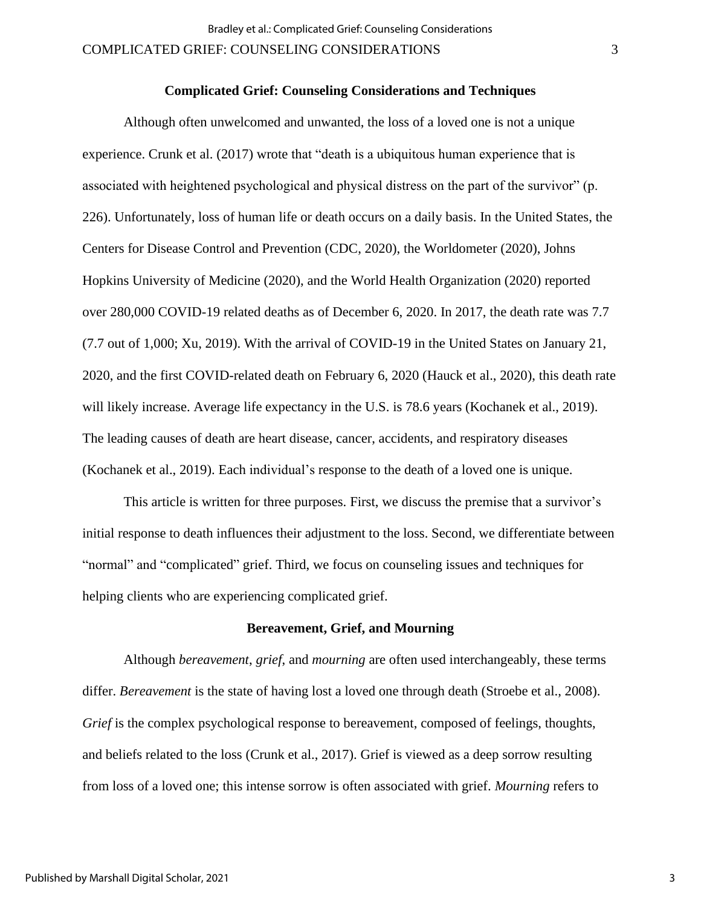### **Complicated Grief: Counseling Considerations and Techniques**

Although often unwelcomed and unwanted, the loss of a loved one is not a unique experience. Crunk et al. (2017) wrote that "death is a ubiquitous human experience that is associated with heightened psychological and physical distress on the part of the survivor" (p. 226). Unfortunately, loss of human life or death occurs on a daily basis. In the United States, the Centers for Disease Control and Prevention (CDC, 2020), the Worldometer (2020), Johns Hopkins University of Medicine (2020), and the World Health Organization (2020) reported over 280,000 COVID-19 related deaths as of December 6, 2020. In 2017, the death rate was 7.7 (7.7 out of 1,000; Xu, 2019). With the arrival of COVID-19 in the United States on January 21, 2020, and the first COVID-related death on February 6, 2020 (Hauck et al., 2020), this death rate will likely increase. Average life expectancy in the U.S. is 78.6 years (Kochanek et al., 2019). The leading causes of death are heart disease, cancer, accidents, and respiratory diseases (Kochanek et al., 2019). Each individual's response to the death of a loved one is unique.

This article is written for three purposes. First, we discuss the premise that a survivor's initial response to death influences their adjustment to the loss. Second, we differentiate between "normal" and "complicated" grief. Third, we focus on counseling issues and techniques for helping clients who are experiencing complicated grief.

#### **Bereavement, Grief, and Mourning**

Although *bereavement*, *grief*, and *mourning* are often used interchangeably, these terms differ. *Bereavement* is the state of having lost a loved one through death (Stroebe et al., 2008). *Grief* is the complex psychological response to bereavement, composed of feelings, thoughts, and beliefs related to the loss (Crunk et al., 2017). Grief is viewed as a deep sorrow resulting from loss of a loved one; this intense sorrow is often associated with grief. *Mourning* refers to

3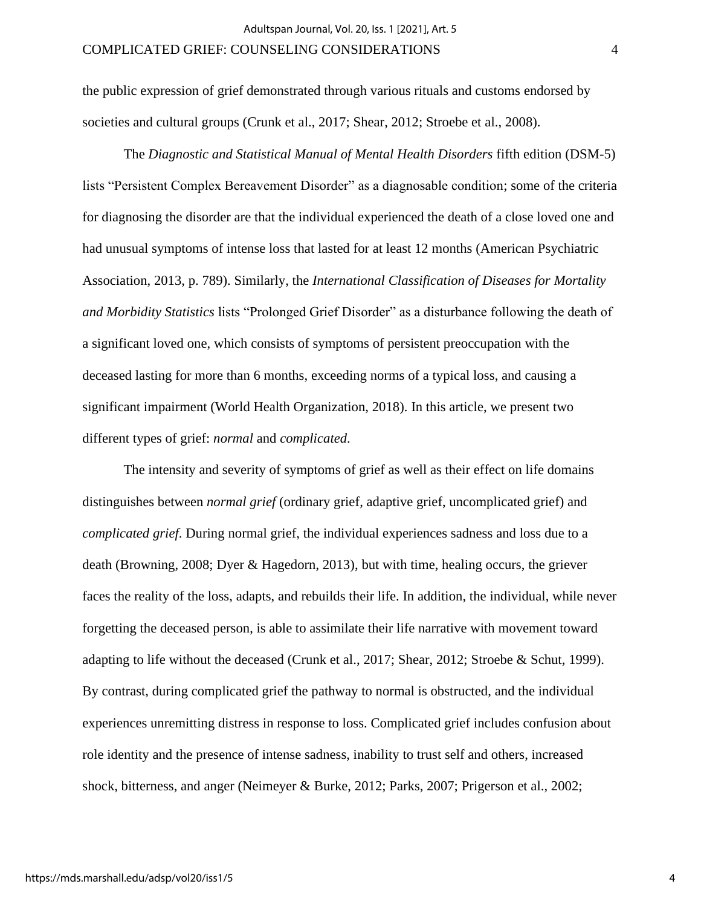the public expression of grief demonstrated through various rituals and customs endorsed by societies and cultural groups (Crunk et al., 2017; Shear, 2012; Stroebe et al., 2008).

The *Diagnostic and Statistical Manual of Mental Health Disorders* fifth edition (DSM-5) lists "Persistent Complex Bereavement Disorder" as a diagnosable condition; some of the criteria for diagnosing the disorder are that the individual experienced the death of a close loved one and had unusual symptoms of intense loss that lasted for at least 12 months (American Psychiatric Association, 2013, p. 789). Similarly, the *International Classification of Diseases for Mortality and Morbidity Statistics* lists "Prolonged Grief Disorder" as a disturbance following the death of a significant loved one, which consists of symptoms of persistent preoccupation with the deceased lasting for more than 6 months, exceeding norms of a typical loss, and causing a significant impairment (World Health Organization, 2018). In this article, we present two different types of grief: *normal* and *complicated*.

The intensity and severity of symptoms of grief as well as their effect on life domains distinguishes between *normal grief* (ordinary grief, adaptive grief, uncomplicated grief) and *complicated grief*. During normal grief, the individual experiences sadness and loss due to a death (Browning, 2008; Dyer & Hagedorn, 2013), but with time, healing occurs, the griever faces the reality of the loss, adapts, and rebuilds their life. In addition, the individual, while never forgetting the deceased person, is able to assimilate their life narrative with movement toward adapting to life without the deceased (Crunk et al., 2017; Shear, 2012; Stroebe & Schut, 1999). By contrast, during complicated grief the pathway to normal is obstructed, and the individual experiences unremitting distress in response to loss. Complicated grief includes confusion about role identity and the presence of intense sadness, inability to trust self and others, increased shock, bitterness, and anger (Neimeyer & Burke, 2012; Parks, 2007; Prigerson et al., 2002;

4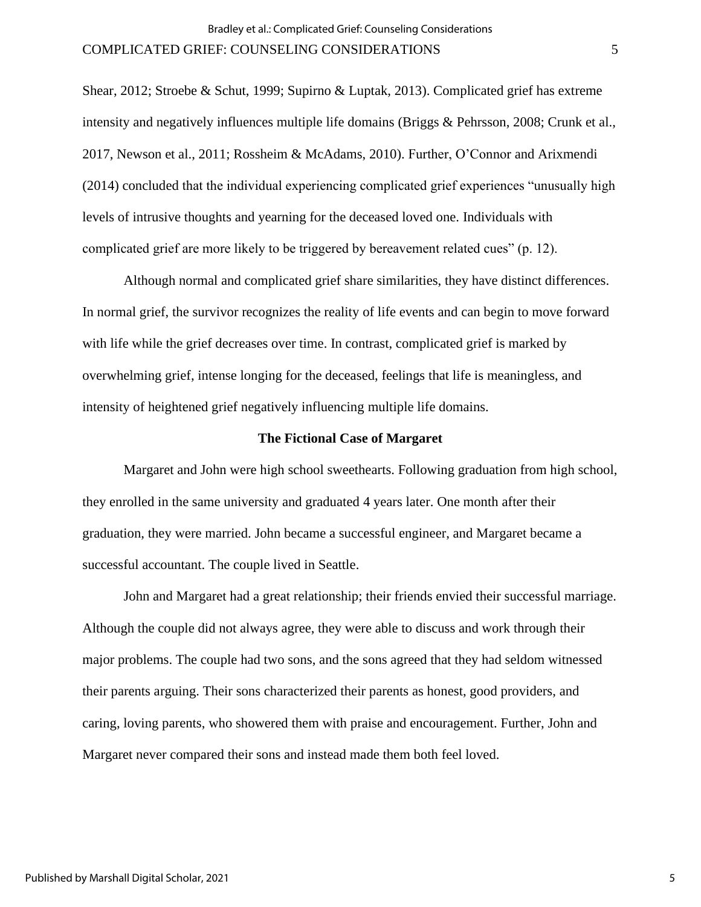Shear, 2012; Stroebe & Schut, 1999; Supirno & Luptak, 2013). Complicated grief has extreme intensity and negatively influences multiple life domains (Briggs & Pehrsson, 2008; Crunk et al., 2017, Newson et al., 2011; Rossheim & McAdams, 2010). Further, O'Connor and Arixmendi (2014) concluded that the individual experiencing complicated grief experiences "unusually high levels of intrusive thoughts and yearning for the deceased loved one. Individuals with complicated grief are more likely to be triggered by bereavement related cues" (p. 12).

Although normal and complicated grief share similarities, they have distinct differences. In normal grief, the survivor recognizes the reality of life events and can begin to move forward with life while the grief decreases over time. In contrast, complicated grief is marked by overwhelming grief, intense longing for the deceased, feelings that life is meaningless, and intensity of heightened grief negatively influencing multiple life domains.

#### **The Fictional Case of Margaret**

Margaret and John were high school sweethearts. Following graduation from high school, they enrolled in the same university and graduated 4 years later. One month after their graduation, they were married. John became a successful engineer, and Margaret became a successful accountant. The couple lived in Seattle.

John and Margaret had a great relationship; their friends envied their successful marriage. Although the couple did not always agree, they were able to discuss and work through their major problems. The couple had two sons, and the sons agreed that they had seldom witnessed their parents arguing. Their sons characterized their parents as honest, good providers, and caring, loving parents, who showered them with praise and encouragement. Further, John and Margaret never compared their sons and instead made them both feel loved.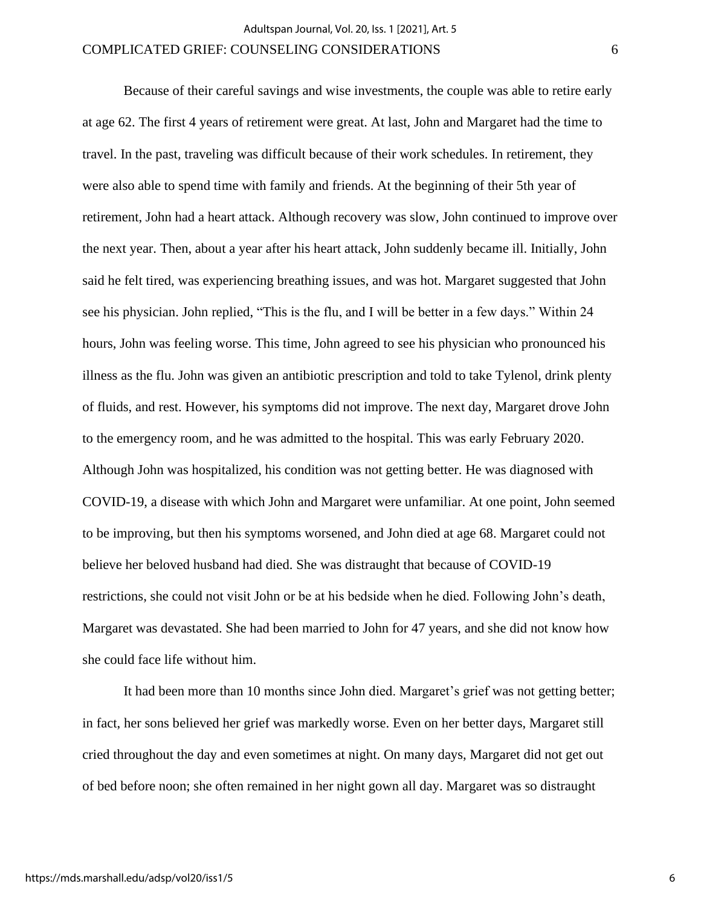Because of their careful savings and wise investments, the couple was able to retire early at age 62. The first 4 years of retirement were great. At last, John and Margaret had the time to travel. In the past, traveling was difficult because of their work schedules. In retirement, they were also able to spend time with family and friends. At the beginning of their 5th year of retirement, John had a heart attack. Although recovery was slow, John continued to improve over the next year. Then, about a year after his heart attack, John suddenly became ill. Initially, John said he felt tired, was experiencing breathing issues, and was hot. Margaret suggested that John see his physician. John replied, "This is the flu, and I will be better in a few days." Within 24 hours, John was feeling worse. This time, John agreed to see his physician who pronounced his illness as the flu. John was given an antibiotic prescription and told to take Tylenol, drink plenty of fluids, and rest. However, his symptoms did not improve. The next day, Margaret drove John to the emergency room, and he was admitted to the hospital. This was early February 2020. Although John was hospitalized, his condition was not getting better. He was diagnosed with COVID-19, a disease with which John and Margaret were unfamiliar. At one point, John seemed to be improving, but then his symptoms worsened, and John died at age 68. Margaret could not believe her beloved husband had died. She was distraught that because of COVID-19 restrictions, she could not visit John or be at his bedside when he died. Following John's death, Margaret was devastated. She had been married to John for 47 years, and she did not know how she could face life without him.

It had been more than 10 months since John died. Margaret's grief was not getting better; in fact, her sons believed her grief was markedly worse. Even on her better days, Margaret still cried throughout the day and even sometimes at night. On many days, Margaret did not get out of bed before noon; she often remained in her night gown all day. Margaret was so distraught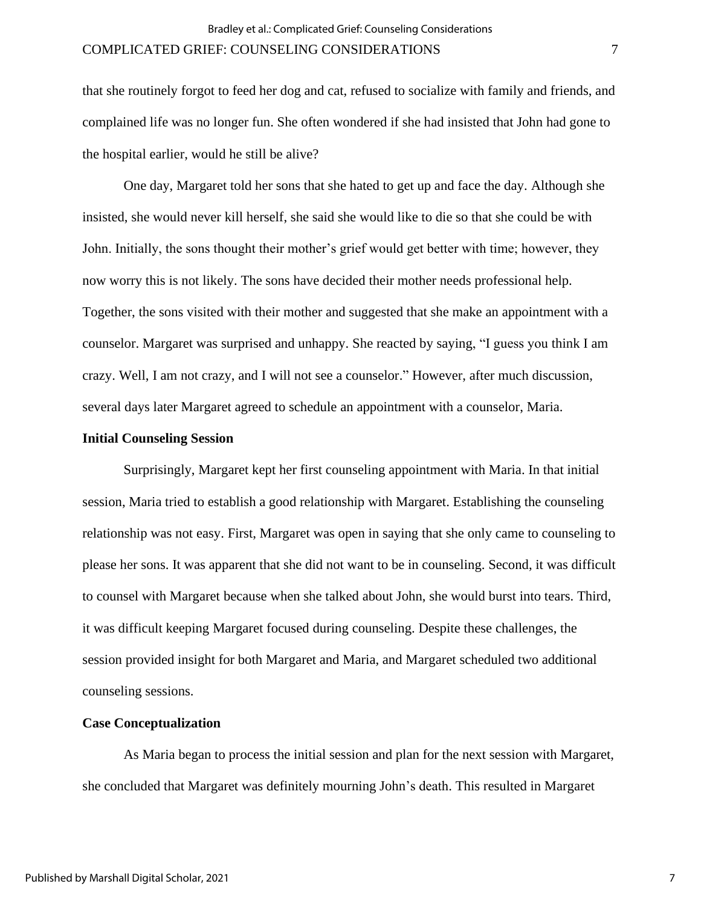that she routinely forgot to feed her dog and cat, refused to socialize with family and friends, and complained life was no longer fun. She often wondered if she had insisted that John had gone to the hospital earlier, would he still be alive?

One day, Margaret told her sons that she hated to get up and face the day. Although she insisted, she would never kill herself, she said she would like to die so that she could be with John. Initially, the sons thought their mother's grief would get better with time; however, they now worry this is not likely. The sons have decided their mother needs professional help. Together, the sons visited with their mother and suggested that she make an appointment with a counselor. Margaret was surprised and unhappy. She reacted by saying, "I guess you think I am crazy. Well, I am not crazy, and I will not see a counselor." However, after much discussion, several days later Margaret agreed to schedule an appointment with a counselor, Maria.

#### **Initial Counseling Session**

Surprisingly, Margaret kept her first counseling appointment with Maria. In that initial session, Maria tried to establish a good relationship with Margaret. Establishing the counseling relationship was not easy. First, Margaret was open in saying that she only came to counseling to please her sons. It was apparent that she did not want to be in counseling. Second, it was difficult to counsel with Margaret because when she talked about John, she would burst into tears. Third, it was difficult keeping Margaret focused during counseling. Despite these challenges, the session provided insight for both Margaret and Maria, and Margaret scheduled two additional counseling sessions.

#### **Case Conceptualization**

As Maria began to process the initial session and plan for the next session with Margaret, she concluded that Margaret was definitely mourning John's death. This resulted in Margaret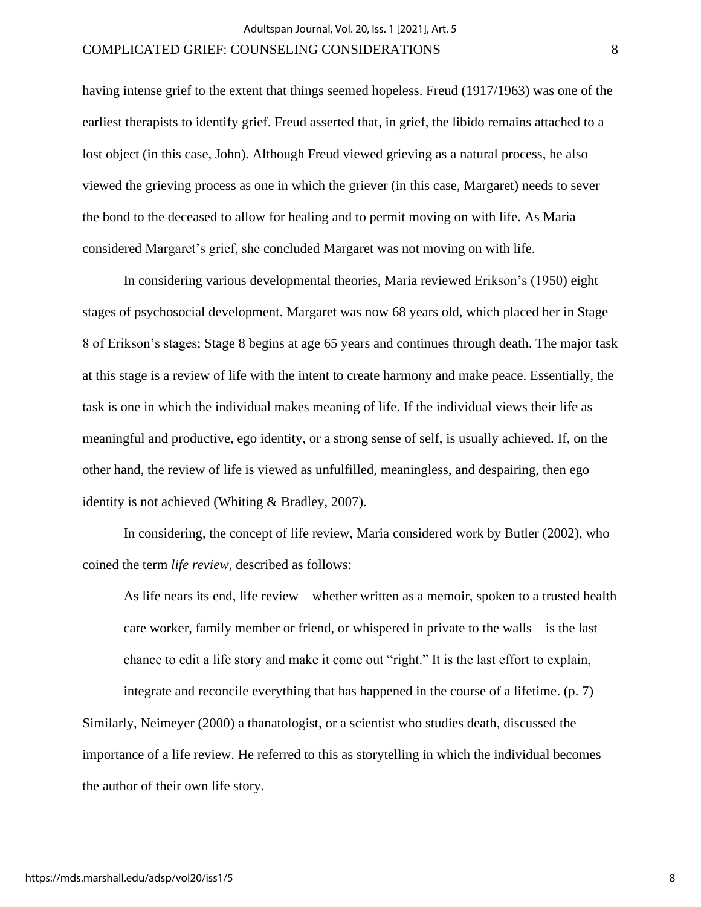having intense grief to the extent that things seemed hopeless. Freud (1917/1963) was one of the earliest therapists to identify grief. Freud asserted that, in grief, the libido remains attached to a lost object (in this case, John). Although Freud viewed grieving as a natural process, he also viewed the grieving process as one in which the griever (in this case, Margaret) needs to sever the bond to the deceased to allow for healing and to permit moving on with life. As Maria considered Margaret's grief, she concluded Margaret was not moving on with life.

In considering various developmental theories, Maria reviewed Erikson's (1950) eight stages of psychosocial development. Margaret was now 68 years old, which placed her in Stage 8 of Erikson's stages; Stage 8 begins at age 65 years and continues through death. The major task at this stage is a review of life with the intent to create harmony and make peace. Essentially, the task is one in which the individual makes meaning of life. If the individual views their life as meaningful and productive, ego identity, or a strong sense of self, is usually achieved. If, on the other hand, the review of life is viewed as unfulfilled, meaningless, and despairing, then ego identity is not achieved (Whiting & Bradley, 2007).

In considering, the concept of life review, Maria considered work by Butler (2002), who coined the term *life review*, described as follows:

As life nears its end, life review—whether written as a memoir, spoken to a trusted health care worker, family member or friend, or whispered in private to the walls—is the last chance to edit a life story and make it come out "right." It is the last effort to explain,

integrate and reconcile everything that has happened in the course of a lifetime. (p. 7) Similarly, Neimeyer (2000) a thanatologist, or a scientist who studies death, discussed the importance of a life review. He referred to this as storytelling in which the individual becomes the author of their own life story.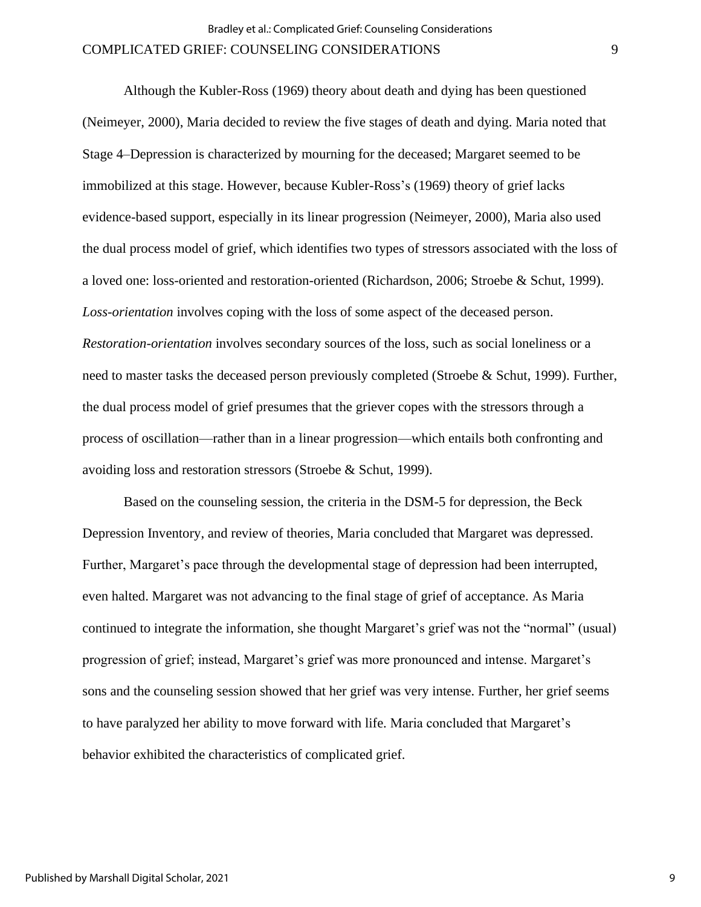Although the Kubler-Ross (1969) theory about death and dying has been questioned (Neimeyer, 2000), Maria decided to review the five stages of death and dying. Maria noted that Stage 4–Depression is characterized by mourning for the deceased; Margaret seemed to be immobilized at this stage. However, because Kubler-Ross's (1969) theory of grief lacks evidence-based support, especially in its linear progression (Neimeyer, 2000), Maria also used the dual process model of grief, which identifies two types of stressors associated with the loss of a loved one: loss-oriented and restoration-oriented (Richardson, 2006; Stroebe & Schut, 1999). *Loss-orientation* involves coping with the loss of some aspect of the deceased person. *Restoration-orientation* involves secondary sources of the loss, such as social loneliness or a need to master tasks the deceased person previously completed (Stroebe & Schut, 1999). Further, the dual process model of grief presumes that the griever copes with the stressors through a process of oscillation—rather than in a linear progression—which entails both confronting and avoiding loss and restoration stressors (Stroebe & Schut, 1999).

Based on the counseling session, the criteria in the DSM-5 for depression, the Beck Depression Inventory, and review of theories, Maria concluded that Margaret was depressed. Further, Margaret's pace through the developmental stage of depression had been interrupted, even halted. Margaret was not advancing to the final stage of grief of acceptance. As Maria continued to integrate the information, she thought Margaret's grief was not the "normal" (usual) progression of grief; instead, Margaret's grief was more pronounced and intense. Margaret's sons and the counseling session showed that her grief was very intense. Further, her grief seems to have paralyzed her ability to move forward with life. Maria concluded that Margaret's behavior exhibited the characteristics of complicated grief.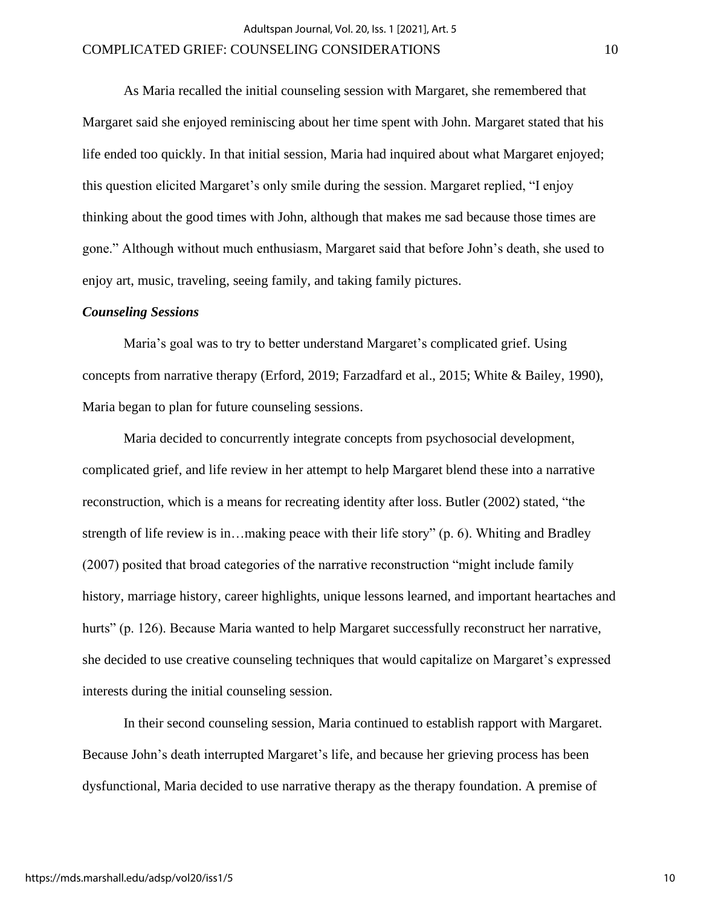As Maria recalled the initial counseling session with Margaret, she remembered that Margaret said she enjoyed reminiscing about her time spent with John. Margaret stated that his life ended too quickly. In that initial session, Maria had inquired about what Margaret enjoyed; this question elicited Margaret's only smile during the session. Margaret replied, "I enjoy thinking about the good times with John, although that makes me sad because those times are gone." Although without much enthusiasm, Margaret said that before John's death, she used to enjoy art, music, traveling, seeing family, and taking family pictures.

#### *Counseling Sessions*

Maria's goal was to try to better understand Margaret's complicated grief. Using concepts from narrative therapy (Erford, 2019; Farzadfard et al., 2015; White & Bailey, 1990), Maria began to plan for future counseling sessions.

Maria decided to concurrently integrate concepts from psychosocial development, complicated grief, and life review in her attempt to help Margaret blend these into a narrative reconstruction, which is a means for recreating identity after loss. Butler (2002) stated, "the strength of life review is in…making peace with their life story" (p. 6). Whiting and Bradley (2007) posited that broad categories of the narrative reconstruction "might include family history, marriage history, career highlights, unique lessons learned, and important heartaches and hurts" (p. 126). Because Maria wanted to help Margaret successfully reconstruct her narrative, she decided to use creative counseling techniques that would capitalize on Margaret's expressed interests during the initial counseling session.

In their second counseling session, Maria continued to establish rapport with Margaret. Because John's death interrupted Margaret's life, and because her grieving process has been dysfunctional, Maria decided to use narrative therapy as the therapy foundation. A premise of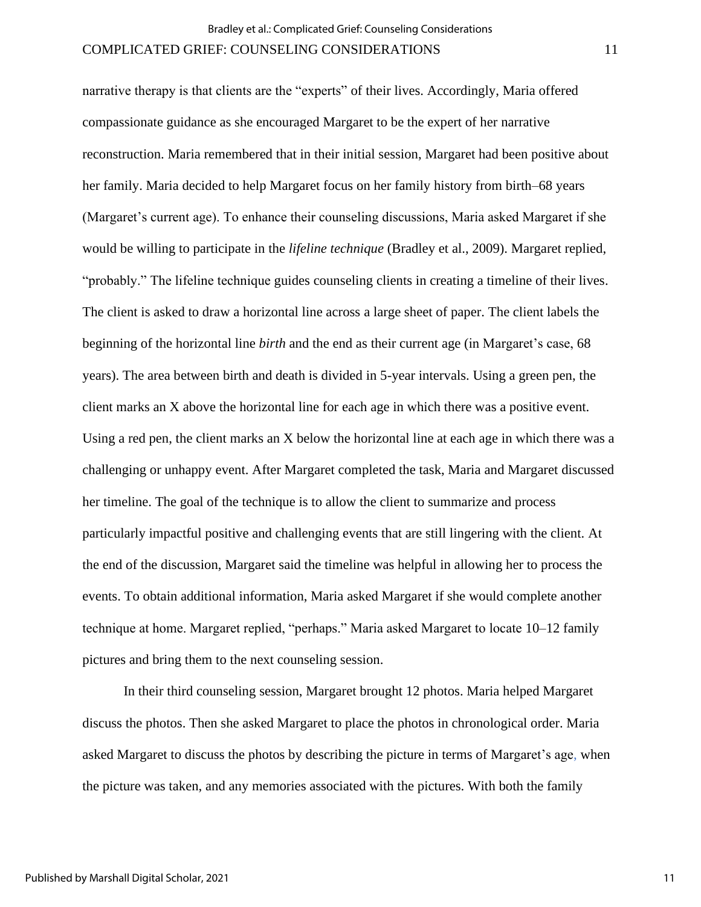narrative therapy is that clients are the "experts" of their lives. Accordingly, Maria offered compassionate guidance as she encouraged Margaret to be the expert of her narrative reconstruction. Maria remembered that in their initial session, Margaret had been positive about her family. Maria decided to help Margaret focus on her family history from birth–68 years (Margaret's current age). To enhance their counseling discussions, Maria asked Margaret if she would be willing to participate in the *lifeline technique* (Bradley et al., 2009). Margaret replied, "probably." The lifeline technique guides counseling clients in creating a timeline of their lives. The client is asked to draw a horizontal line across a large sheet of paper. The client labels the beginning of the horizontal line *birth* and the end as their current age (in Margaret's case, 68 years). The area between birth and death is divided in 5-year intervals. Using a green pen, the client marks an X above the horizontal line for each age in which there was a positive event. Using a red pen, the client marks an X below the horizontal line at each age in which there was a challenging or unhappy event. After Margaret completed the task, Maria and Margaret discussed her timeline. The goal of the technique is to allow the client to summarize and process particularly impactful positive and challenging events that are still lingering with the client. At the end of the discussion, Margaret said the timeline was helpful in allowing her to process the events. To obtain additional information, Maria asked Margaret if she would complete another technique at home. Margaret replied, "perhaps." Maria asked Margaret to locate 10–12 family pictures and bring them to the next counseling session.

In their third counseling session, Margaret brought 12 photos. Maria helped Margaret discuss the photos. Then she asked Margaret to place the photos in chronological order. Maria asked Margaret to discuss the photos by describing the picture in terms of Margaret's age, when the picture was taken, and any memories associated with the pictures. With both the family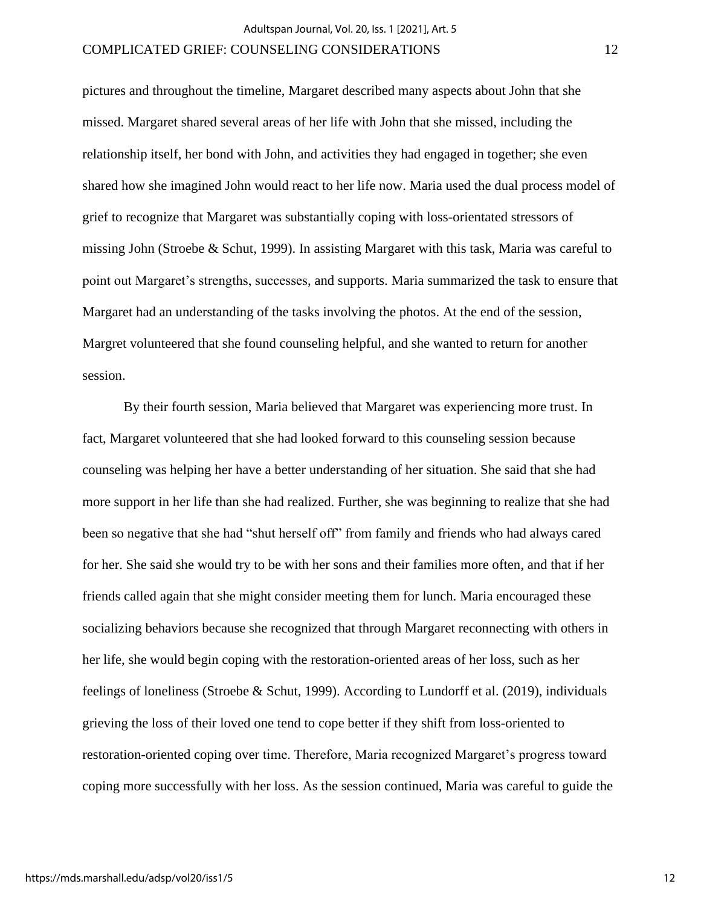pictures and throughout the timeline, Margaret described many aspects about John that she missed. Margaret shared several areas of her life with John that she missed, including the relationship itself, her bond with John, and activities they had engaged in together; she even shared how she imagined John would react to her life now. Maria used the dual process model of grief to recognize that Margaret was substantially coping with loss-orientated stressors of missing John (Stroebe & Schut, 1999). In assisting Margaret with this task, Maria was careful to point out Margaret's strengths, successes, and supports. Maria summarized the task to ensure that Margaret had an understanding of the tasks involving the photos. At the end of the session, Margret volunteered that she found counseling helpful, and she wanted to return for another session.

By their fourth session, Maria believed that Margaret was experiencing more trust. In fact, Margaret volunteered that she had looked forward to this counseling session because counseling was helping her have a better understanding of her situation. She said that she had more support in her life than she had realized. Further, she was beginning to realize that she had been so negative that she had "shut herself off" from family and friends who had always cared for her. She said she would try to be with her sons and their families more often, and that if her friends called again that she might consider meeting them for lunch. Maria encouraged these socializing behaviors because she recognized that through Margaret reconnecting with others in her life, she would begin coping with the restoration-oriented areas of her loss, such as her feelings of loneliness (Stroebe & Schut, 1999). According to Lundorff et al. (2019), individuals grieving the loss of their loved one tend to cope better if they shift from loss-oriented to restoration-oriented coping over time. Therefore, Maria recognized Margaret's progress toward coping more successfully with her loss. As the session continued, Maria was careful to guide the

12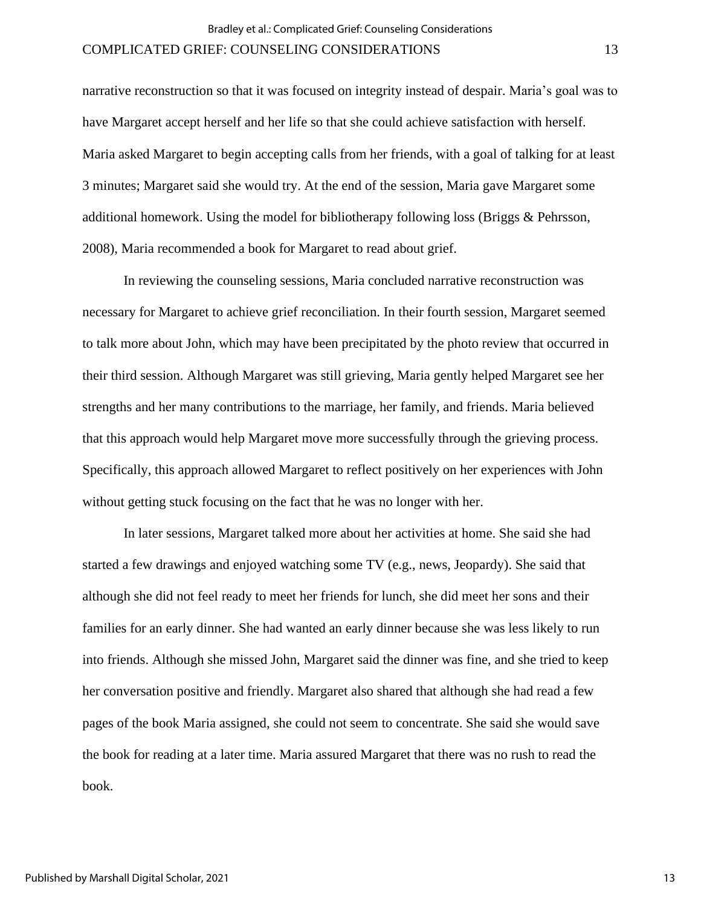narrative reconstruction so that it was focused on integrity instead of despair. Maria's goal was to have Margaret accept herself and her life so that she could achieve satisfaction with herself. Maria asked Margaret to begin accepting calls from her friends, with a goal of talking for at least 3 minutes; Margaret said she would try. At the end of the session, Maria gave Margaret some additional homework. Using the model for bibliotherapy following loss (Briggs & Pehrsson, 2008), Maria recommended a book for Margaret to read about grief.

In reviewing the counseling sessions, Maria concluded narrative reconstruction was necessary for Margaret to achieve grief reconciliation. In their fourth session, Margaret seemed to talk more about John, which may have been precipitated by the photo review that occurred in their third session. Although Margaret was still grieving, Maria gently helped Margaret see her strengths and her many contributions to the marriage, her family, and friends. Maria believed that this approach would help Margaret move more successfully through the grieving process. Specifically, this approach allowed Margaret to reflect positively on her experiences with John without getting stuck focusing on the fact that he was no longer with her.

In later sessions, Margaret talked more about her activities at home. She said she had started a few drawings and enjoyed watching some TV (e.g., news, Jeopardy). She said that although she did not feel ready to meet her friends for lunch, she did meet her sons and their families for an early dinner. She had wanted an early dinner because she was less likely to run into friends. Although she missed John, Margaret said the dinner was fine, and she tried to keep her conversation positive and friendly. Margaret also shared that although she had read a few pages of the book Maria assigned, she could not seem to concentrate. She said she would save the book for reading at a later time. Maria assured Margaret that there was no rush to read the book.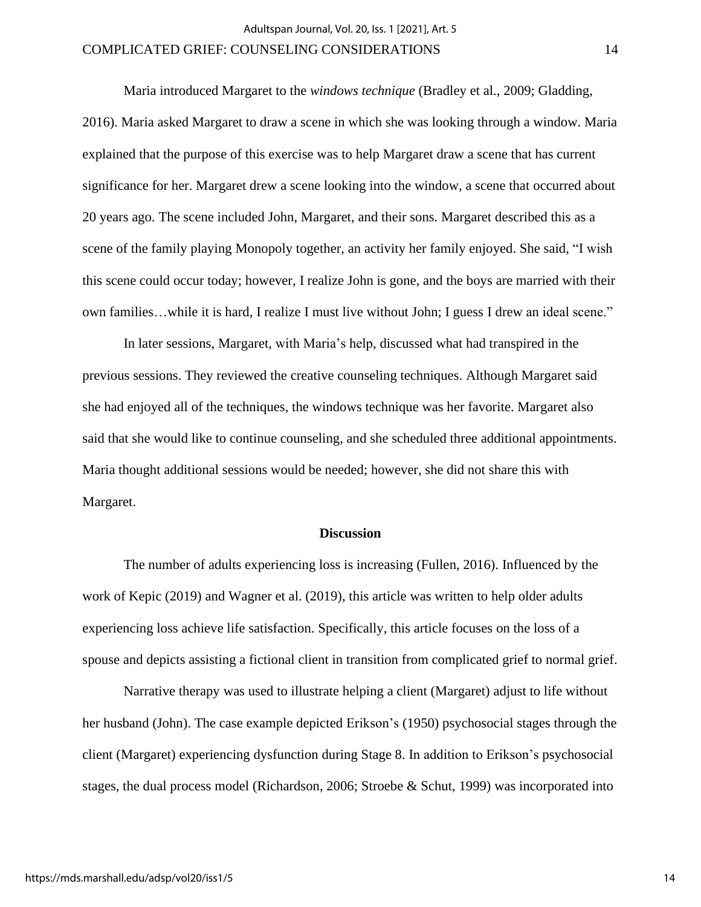Maria introduced Margaret to the *windows technique* (Bradley et al., 2009; Gladding, 2016). Maria asked Margaret to draw a scene in which she was looking through a window. Maria explained that the purpose of this exercise was to help Margaret draw a scene that has current significance for her. Margaret drew a scene looking into the window, a scene that occurred about 20 years ago. The scene included John, Margaret, and their sons. Margaret described this as a scene of the family playing Monopoly together, an activity her family enjoyed. She said, "I wish this scene could occur today; however, I realize John is gone, and the boys are married with their own families…while it is hard, I realize I must live without John; I guess I drew an ideal scene."

In later sessions, Margaret, with Maria's help, discussed what had transpired in the previous sessions. They reviewed the creative counseling techniques. Although Margaret said she had enjoyed all of the techniques, the windows technique was her favorite. Margaret also said that she would like to continue counseling, and she scheduled three additional appointments. Maria thought additional sessions would be needed; however, she did not share this with Margaret.

#### **Discussion**

The number of adults experiencing loss is increasing (Fullen, 2016). Influenced by the work of Kepic (2019) and Wagner et al. (2019), this article was written to help older adults experiencing loss achieve life satisfaction. Specifically, this article focuses on the loss of a spouse and depicts assisting a fictional client in transition from complicated grief to normal grief.

Narrative therapy was used to illustrate helping a client (Margaret) adjust to life without her husband (John). The case example depicted Erikson's (1950) psychosocial stages through the client (Margaret) experiencing dysfunction during Stage 8. In addition to Erikson's psychosocial stages, the dual process model (Richardson, 2006; Stroebe & Schut, 1999) was incorporated into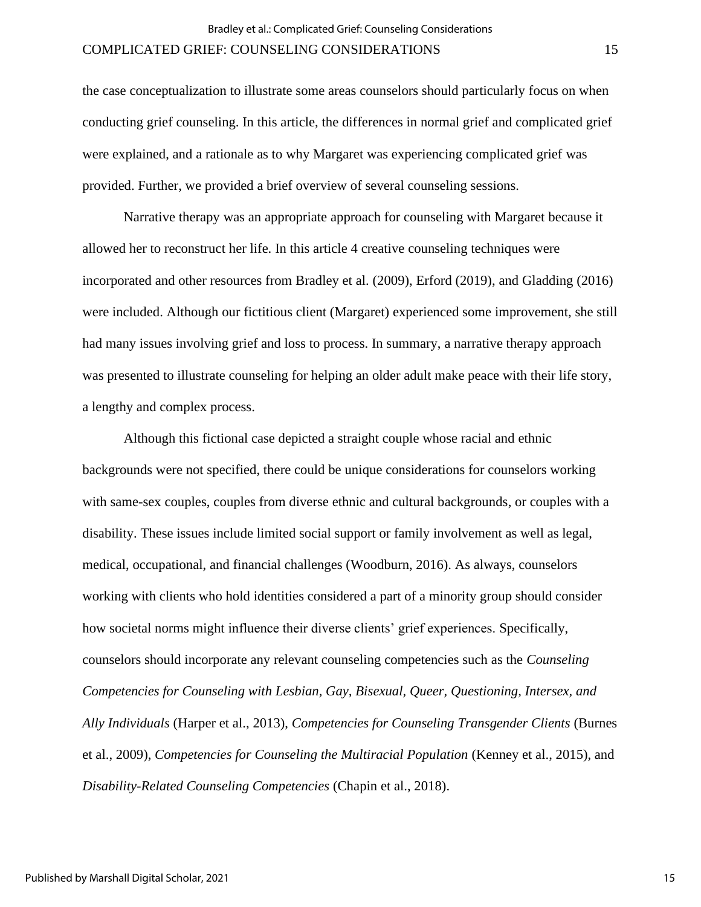the case conceptualization to illustrate some areas counselors should particularly focus on when conducting grief counseling. In this article, the differences in normal grief and complicated grief were explained, and a rationale as to why Margaret was experiencing complicated grief was provided. Further, we provided a brief overview of several counseling sessions.

Narrative therapy was an appropriate approach for counseling with Margaret because it allowed her to reconstruct her life. In this article 4 creative counseling techniques were incorporated and other resources from Bradley et al. (2009), Erford (2019), and Gladding (2016) were included. Although our fictitious client (Margaret) experienced some improvement, she still had many issues involving grief and loss to process. In summary, a narrative therapy approach was presented to illustrate counseling for helping an older adult make peace with their life story, a lengthy and complex process.

Although this fictional case depicted a straight couple whose racial and ethnic backgrounds were not specified, there could be unique considerations for counselors working with same-sex couples, couples from diverse ethnic and cultural backgrounds, or couples with a disability. These issues include limited social support or family involvement as well as legal, medical, occupational, and financial challenges (Woodburn, 2016). As always, counselors working with clients who hold identities considered a part of a minority group should consider how societal norms might influence their diverse clients' grief experiences. Specifically, counselors should incorporate any relevant counseling competencies such as the *Counseling Competencies for Counseling with Lesbian, Gay, Bisexual, Queer, Questioning, Intersex, and Ally Individuals* (Harper et al., 2013), *Competencies for Counseling Transgender Clients* (Burnes et al., 2009), *Competencies for Counseling the Multiracial Population* (Kenney et al., 2015), and *Disability-Related Counseling Competencies* (Chapin et al., 2018).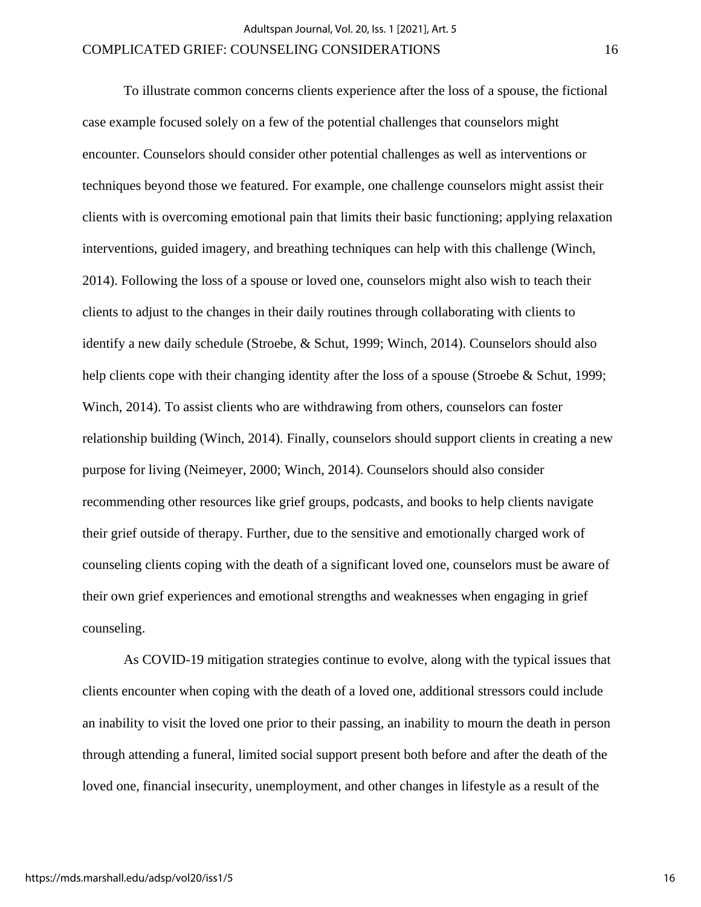To illustrate common concerns clients experience after the loss of a spouse, the fictional case example focused solely on a few of the potential challenges that counselors might encounter. Counselors should consider other potential challenges as well as interventions or techniques beyond those we featured. For example, one challenge counselors might assist their clients with is overcoming emotional pain that limits their basic functioning; applying relaxation interventions, guided imagery, and breathing techniques can help with this challenge (Winch, 2014). Following the loss of a spouse or loved one, counselors might also wish to teach their clients to adjust to the changes in their daily routines through collaborating with clients to identify a new daily schedule (Stroebe, & Schut, 1999; Winch, 2014). Counselors should also help clients cope with their changing identity after the loss of a spouse (Stroebe & Schut, 1999; Winch, 2014). To assist clients who are withdrawing from others, counselors can foster relationship building (Winch, 2014). Finally, counselors should support clients in creating a new purpose for living (Neimeyer, 2000; Winch, 2014). Counselors should also consider recommending other resources like grief groups, podcasts, and books to help clients navigate their grief outside of therapy. Further, due to the sensitive and emotionally charged work of counseling clients coping with the death of a significant loved one, counselors must be aware of their own grief experiences and emotional strengths and weaknesses when engaging in grief counseling.

As COVID-19 mitigation strategies continue to evolve, along with the typical issues that clients encounter when coping with the death of a loved one, additional stressors could include an inability to visit the loved one prior to their passing, an inability to mourn the death in person through attending a funeral, limited social support present both before and after the death of the loved one, financial insecurity, unemployment, and other changes in lifestyle as a result of the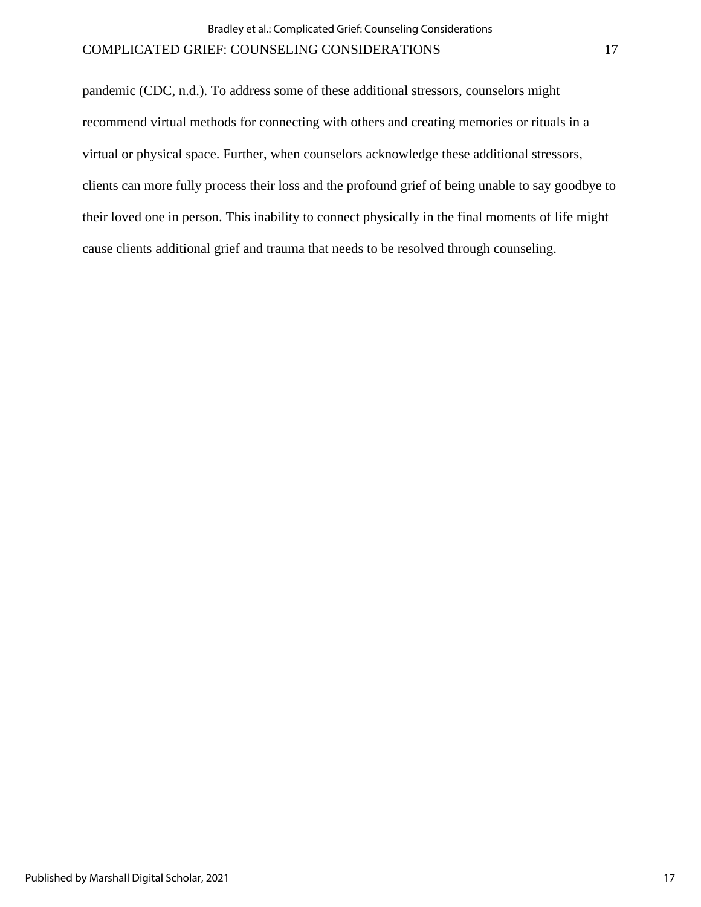pandemic (CDC, n.d.). To address some of these additional stressors, counselors might recommend virtual methods for connecting with others and creating memories or rituals in a virtual or physical space. Further, when counselors acknowledge these additional stressors, clients can more fully process their loss and the profound grief of being unable to say goodbye to their loved one in person. This inability to connect physically in the final moments of life might cause clients additional grief and trauma that needs to be resolved through counseling.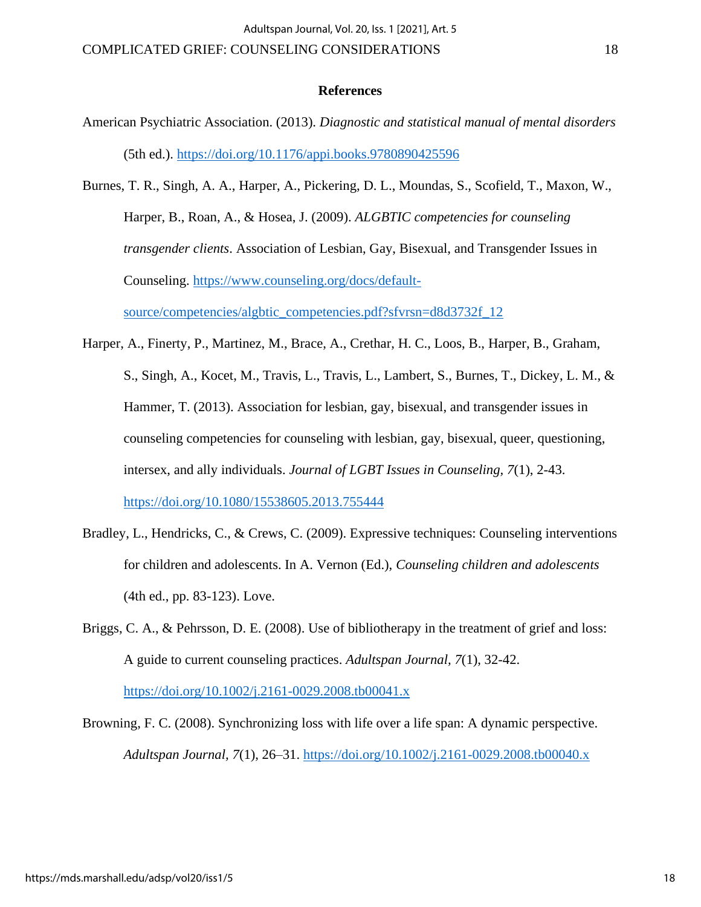#### **References**

- American Psychiatric Association. (2013). *Diagnostic and statistical manual of mental disorders*  (5th ed.).<https://doi.org/10.1176/appi.books.9780890425596>
- Burnes, T. R., Singh, A. A., Harper, A., Pickering, D. L., Moundas, S., Scofield, T., Maxon, W., Harper, B., Roan, A., & Hosea, J. (2009). *ALGBTIC competencies for counseling transgender clients*. Association of Lesbian, Gay, Bisexual, and Transgender Issues in Counseling. [https://www.counseling.org/docs/default](https://www.counseling.org/docs/default-source/competencies/algbtic_competencies.pdf?sfvrsn=d8d3732f_12)[source/competencies/algbtic\\_competencies.pdf?sfvrsn=d8d3732f\\_12](https://www.counseling.org/docs/default-source/competencies/algbtic_competencies.pdf?sfvrsn=d8d3732f_12)
- Harper, A., Finerty, P., Martinez, M., Brace, A., Crethar, H. C., Loos, B., Harper, B., Graham, S., Singh, A., Kocet, M., Travis, L., Travis, L., Lambert, S., Burnes, T., Dickey, L. M., & Hammer, T. (2013). Association for lesbian, gay, bisexual, and transgender issues in counseling competencies for counseling with lesbian, gay, bisexual, queer, questioning, intersex, and ally individuals. *Journal of LGBT Issues in Counseling, 7*(1), 2-43. <https://doi.org/10.1080/15538605.2013.755444>
- Bradley, L., Hendricks, C., & Crews, C. (2009). Expressive techniques: Counseling interventions for children and adolescents. In A. Vernon (Ed.), *Counseling children and adolescents* (4th ed., pp. 83-123). Love.
- Briggs, C. A., & Pehrsson, D. E. (2008). Use of bibliotherapy in the treatment of grief and loss: A guide to current counseling practices. *Adultspan Journal, 7*(1), 32-42. <https://doi.org/10.1002/j.2161-0029.2008.tb00041.x>
- Browning, F. C. (2008). Synchronizing loss with life over a life span: A dynamic perspective. *Adultspan Journal, 7*(1), 26–31.<https://doi.org/10.1002/j.2161-0029.2008.tb00040.x>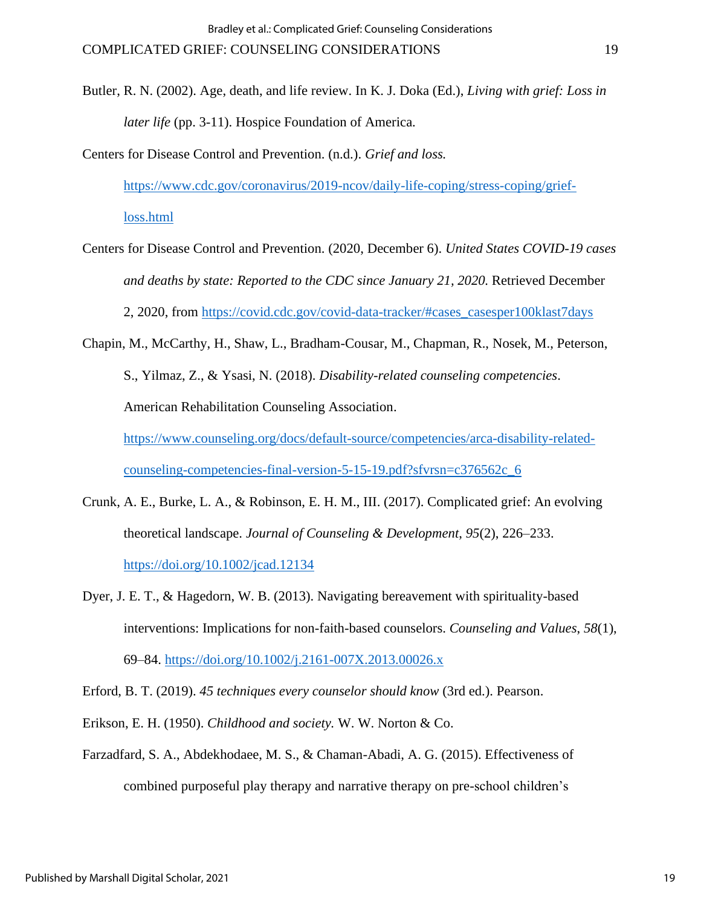- Butler, R. N. (2002). Age, death, and life review. In K. J. Doka (Ed.), *Living with grief: Loss in later life* (pp. 3-11). Hospice Foundation of America.
- Centers for Disease Control and Prevention. (n.d.). *Grief and loss.* [https://www.cdc.gov/coronavirus/2019-ncov/daily-life-coping/stress-coping/grief](https://www.cdc.gov/coronavirus/2019-ncov/daily-life-coping/stress-coping/grief-loss.html)[loss.html](https://www.cdc.gov/coronavirus/2019-ncov/daily-life-coping/stress-coping/grief-loss.html)
- Centers for Disease Control and Prevention. (2020, December 6). *United States COVID-19 cases and deaths by state: Reported to the CDC since January 21, 2020.* Retrieved December 2, 2020, from [https://covid.cdc.gov/covid-data-tracker/#cases\\_casesper100klast7days](https://covid.cdc.gov/covid-data-tracker/#cases_casesper100klast7days)
- Chapin, M., McCarthy, H., Shaw, L., Bradham-Cousar, M., Chapman, R., Nosek, M., Peterson, S., Yilmaz, Z., & Ysasi, N. (2018). *Disability-related counseling competencies*. American Rehabilitation Counseling Association. [https://www.counseling.org/docs/default-source/competencies/arca-disability-related-](https://www.counseling.org/docs/default-source/competencies/arca-disability-related-counseling-competencies-final-version-5-15-19.pdf?sfvrsn=c376562c_6)

[counseling-competencies-final-version-5-15-19.pdf?sfvrsn=c376562c\\_6](https://www.counseling.org/docs/default-source/competencies/arca-disability-related-counseling-competencies-final-version-5-15-19.pdf?sfvrsn=c376562c_6)

- Crunk, A. E., Burke, L. A., & Robinson, E. H. M., III. (2017). Complicated grief: An evolving theoretical landscape. *Journal of Counseling & Development*, *95*(2), 226–233. <https://doi.org/10.1002/jcad.12134>
- Dyer, J. E. T., & Hagedorn, W. B. (2013). Navigating bereavement with spirituality-based interventions: Implications for non-faith-based counselors. *Counseling and Values*, *58*(1), 69–84. <https://doi.org/10.1002/j.2161-007X.2013.00026.x>

Erford, B. T. (2019). *45 techniques every counselor should know* (3rd ed.). Pearson.

- Erikson, E. H. (1950). *Childhood and society.* W. W. Norton & Co.
- Farzadfard, S. A., Abdekhodaee, M. S., & Chaman-Abadi, A. G. (2015). Effectiveness of combined purposeful play therapy and narrative therapy on pre-school children's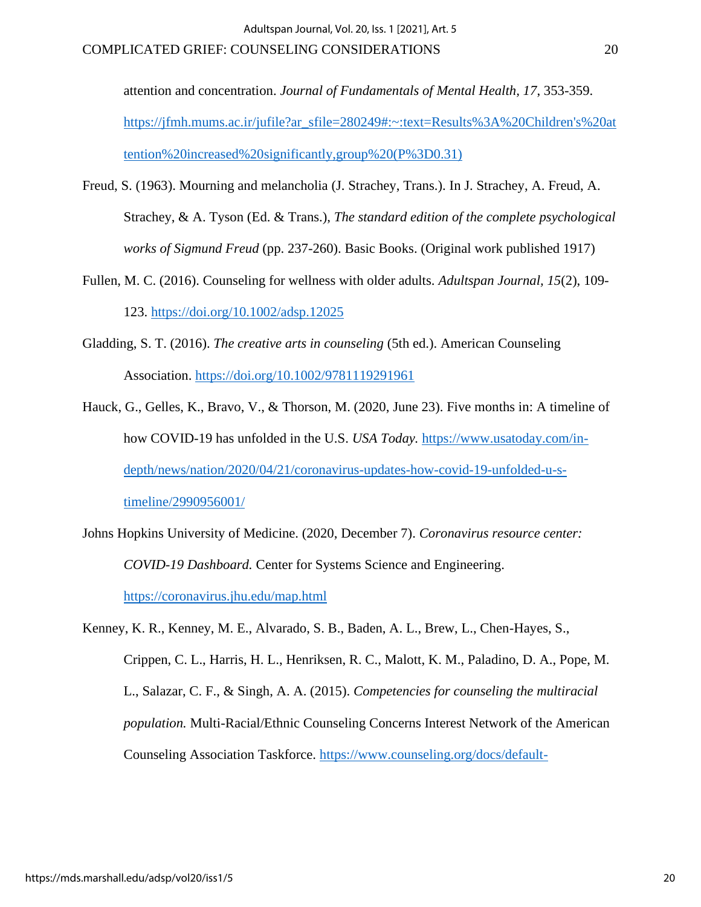attention and concentration. *Journal of Fundamentals of Mental Health, 17*, 353-359. [https://jfmh.mums.ac.ir/jufile?ar\\_sfile=280249#:~:text=Results%3A%20Children's%20at](https://jfmh.mums.ac.ir/jufile?ar_sfile=280249#:~:text=Results%3A%20Children) [tention%20increased%20significantly,group%20\(P%3D0.31\)](https://jfmh.mums.ac.ir/jufile?ar_sfile=280249#:~:text=Results%3A%20Children)

- Freud, S. (1963). Mourning and melancholia (J. Strachey, Trans.). In J. Strachey, A. Freud, A. Strachey, & A. Tyson (Ed. & Trans.), *The standard edition of the complete psychological works of Sigmund Freud* (pp. 237-260). Basic Books. (Original work published 1917)
- Fullen, M. C. (2016). Counseling for wellness with older adults. *Adultspan Journal, 15*(2), 109- 123. <https://doi.org/10.1002/adsp.12025>
- Gladding, S. T. (2016). *The creative arts in counseling* (5th ed.). American Counseling Association. <https://doi.org/10.1002/9781119291961>
- Hauck, G., Gelles, K., Bravo, V., & Thorson, M. (2020, June 23). Five months in: A timeline of how COVID-19 has unfolded in the U.S. *USA Today.* [https://www.usatoday.com/in](https://www.usatoday.com/in-depth/news/nation/2020/04/21/coronavirus-updates-how-covid-19-unfolded-u-s-timeline/2990956001/)[depth/news/nation/2020/04/21/coronavirus-updates-how-covid-19-unfolded-u-s](https://www.usatoday.com/in-depth/news/nation/2020/04/21/coronavirus-updates-how-covid-19-unfolded-u-s-timeline/2990956001/)[timeline/2990956001/](https://www.usatoday.com/in-depth/news/nation/2020/04/21/coronavirus-updates-how-covid-19-unfolded-u-s-timeline/2990956001/)
- Johns Hopkins University of Medicine. (2020, December 7). *Coronavirus resource center: COVID-19 Dashboard.* Center for Systems Science and Engineering. <https://coronavirus.jhu.edu/map.html>
- Kenney, K. R., Kenney, M. E., Alvarado, S. B., Baden, A. L., Brew, L., Chen-Hayes, S., Crippen, C. L., Harris, H. L., Henriksen, R. C., Malott, K. M., Paladino, D. A., Pope, M. L., Salazar, C. F., & Singh, A. A. (2015). *Competencies for counseling the multiracial population.* Multi-Racial/Ethnic Counseling Concerns Interest Network of the American Counseling Association Taskforce. [https://www.counseling.org/docs/default-](https://www.counseling.org/docs/default-source/competencies/competencies-for-counseling-the-multiracial-population-2-2-15-final.pdf?sfvrsn=c7ba412c_14)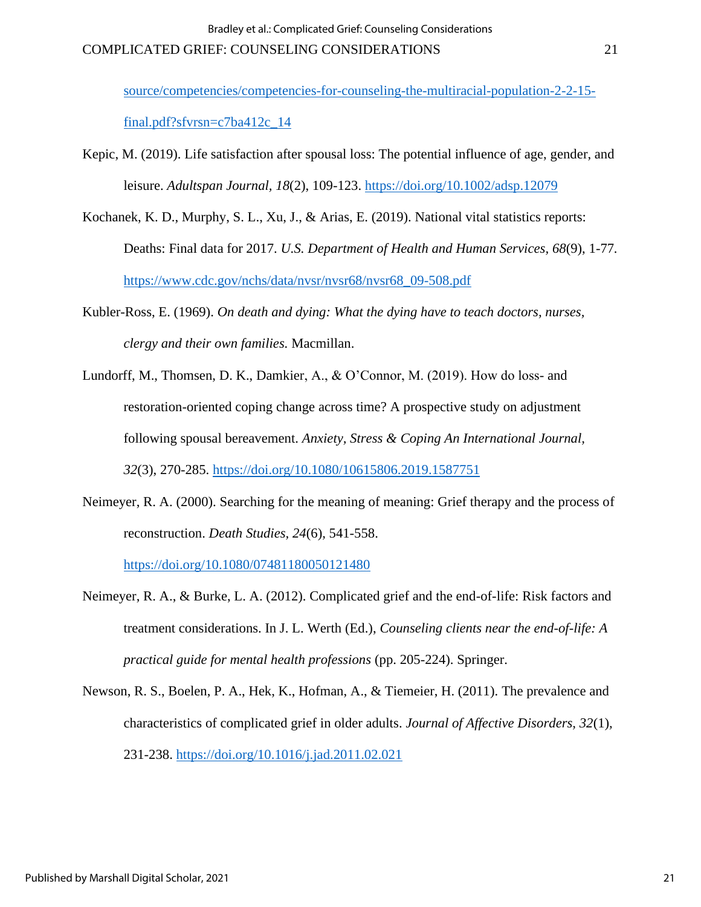[source/competencies/competencies-for-counseling-the-multiracial-population-2-2-15-](https://www.counseling.org/docs/default-source/competencies/competencies-for-counseling-the-multiracial-population-2-2-15-final.pdf?sfvrsn=c7ba412c_14)

[final.pdf?sfvrsn=c7ba412c\\_14](https://www.counseling.org/docs/default-source/competencies/competencies-for-counseling-the-multiracial-population-2-2-15-final.pdf?sfvrsn=c7ba412c_14)

- Kepic, M. (2019). Life satisfaction after spousal loss: The potential influence of age, gender, and leisure. *Adultspan Journal, 18*(2), 109-123.<https://doi.org/10.1002/adsp.12079>
- Kochanek, K. D., Murphy, S. L., Xu, J., & Arias, E. (2019). National vital statistics reports: Deaths: Final data for 2017. *U.S. Department of Health and Human Services, 68*(9), 1-77*.*  [https://www.cdc.gov/nchs/data/nvsr/nvsr68/nvsr68\\_09-508.pdf](https://www.cdc.gov/nchs/data/nvsr/nvsr68/nvsr68_09-508.pdf)
- Kubler-Ross, E. (1969). *On death and dying: What the dying have to teach doctors, nurses, clergy and their own families.* Macmillan.
- Lundorff, M., Thomsen, D. K., Damkier, A., & O'Connor, M. (2019). How do loss- and restoration-oriented coping change across time? A prospective study on adjustment following spousal bereavement. *Anxiety, Stress & Coping An International Journal, 32*(3), 270-285.<https://doi.org/10.1080/10615806.2019.1587751>
- Neimeyer, R. A. (2000). Searching for the meaning of meaning: Grief therapy and the process of reconstruction. *Death Studies, 24*(6)*,* 541-558.

<https://doi.org/10.1080/07481180050121480>

- Neimeyer, R. A., & Burke, L. A. (2012). Complicated grief and the end-of-life: Risk factors and treatment considerations. In J. L. Werth (Ed.), *Counseling clients near the end-of-life: A practical guide for mental health professions* (pp. 205-224). Springer.
- Newson, R. S., Boelen, P. A., Hek, K., Hofman, A., & Tiemeier, H. (2011). The prevalence and characteristics of complicated grief in older adults. *Journal of Affective Disorders, 32*(1)*,*  231-238. <https://doi.org/10.1016/j.jad.2011.02.021>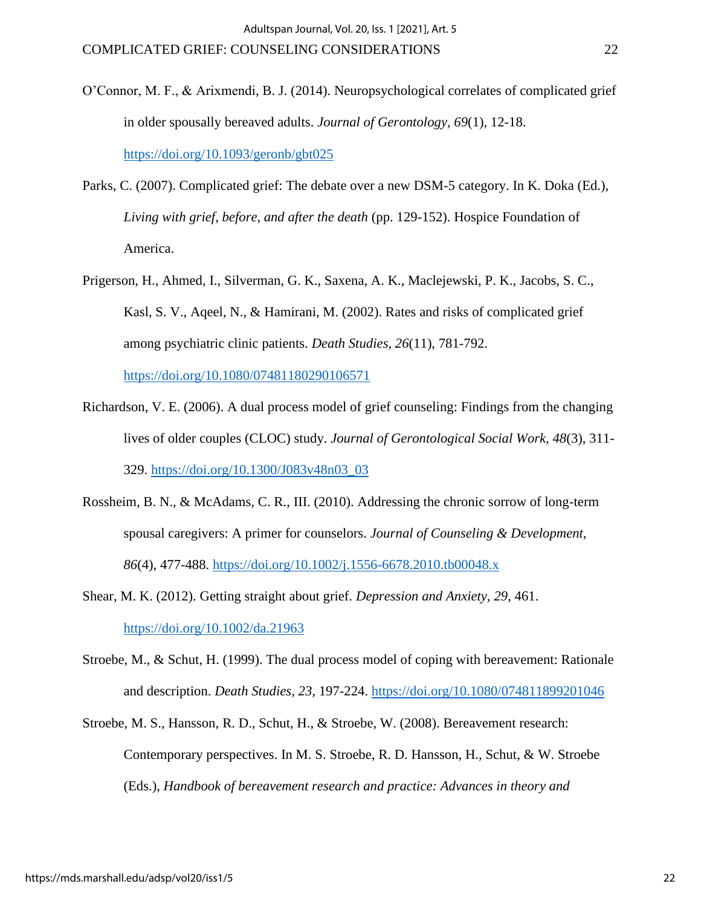- O'Connor, M. F., & Arixmendi, B. J. (2014). Neuropsychological correlates of complicated grief in older spousally bereaved adults. *Journal of Gerontology, 69*(1), 12-18. <https://doi.org/10.1093/geronb/gbt025>
- Parks, C. (2007). Complicated grief: The debate over a new DSM-5 category. In K. Doka (Ed.), *Living with grief, before, and after the death* (pp. 129-152). Hospice Foundation of America.
- Prigerson, H., Ahmed, I., Silverman, G. K., Saxena, A. K., Maclejewski, P. K., Jacobs, S. C., Kasl, S. V., Aqeel, N., & Hamirani, M. (2002). Rates and risks of complicated grief among psychiatric clinic patients. *Death Studies*, *26*(11), 781-792.

<https://doi.org/10.1080/07481180290106571>

- Richardson, V. E. (2006). A dual process model of grief counseling: Findings from the changing lives of older couples (CLOC) study. *Journal of Gerontological Social Work, 48*(3), 311- 329. [https://doi.org/10.1300/J083v48n03\\_03](https://doi.org/10.1300/J083v48n03_03)
- Rossheim, B. N., & McAdams, C. R., III. (2010). Addressing the chronic sorrow of long-term spousal caregivers: A primer for counselors. *Journal of Counseling & Development, 86*(4)*,* 477-488.<https://doi.org/10.1002/j.1556-6678.2010.tb00048.x>

Shear, M. K. (2012). Getting straight about grief. *Depression and Anxiety, 29*, 461. <https://doi.org/10.1002/da.21963>

- Stroebe, M., & Schut, H. (1999). The dual process model of coping with bereavement: Rationale and description. *Death Studies, 23,* 197-224.<https://doi.org/10.1080/074811899201046>
- Stroebe, M. S., Hansson, R. D., Schut, H., & Stroebe, W. (2008). Bereavement research: Contemporary perspectives. In M. S. Stroebe, R. D. Hansson, H., Schut, & W. Stroebe (Eds.), *Handbook of bereavement research and practice: Advances in theory and*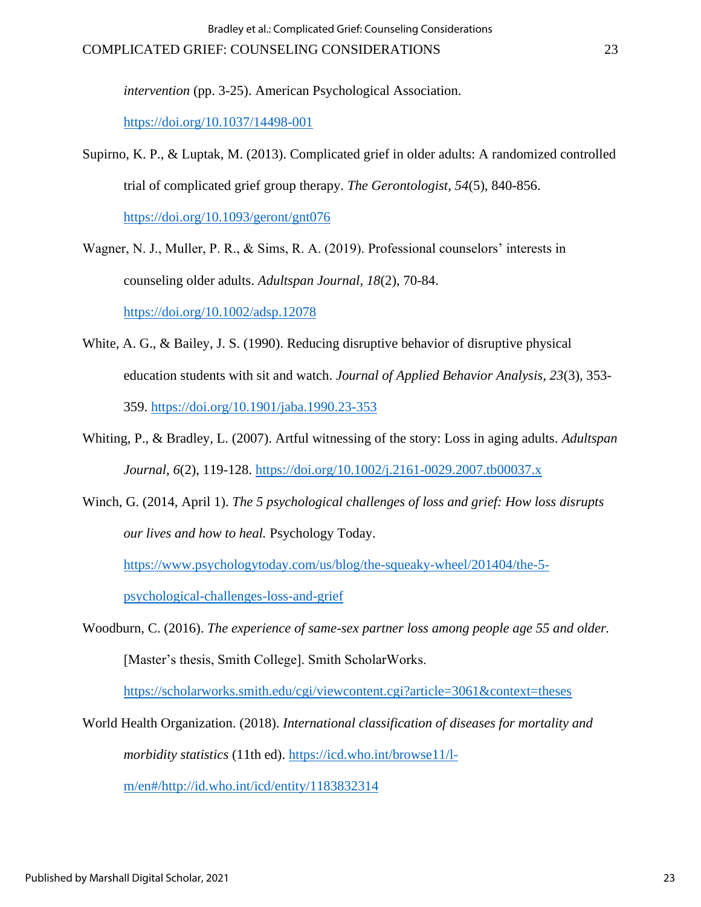*intervention* (pp. 3-25). American Psychological Association.

[https://doi.org/10.1037/14498-001](https://psycnet.apa.org/doi/10.1037/14498-001)

Supirno, K. P., & Luptak, M. (2013). Complicated grief in older adults: A randomized controlled trial of complicated grief group therapy. *The Gerontologist, 54*(5), 840-856. <https://doi.org/10.1093/geront/gnt076>

Wagner, N. J., Muller, P. R., & Sims, R. A. (2019). Professional counselors' interests in counseling older adults. *Adultspan Journal, 18*(2), 70-84. <https://doi.org/10.1002/adsp.12078>

- White, A. G., & Bailey, J. S. (1990). Reducing disruptive behavior of disruptive physical education students with sit and watch. *Journal of Applied Behavior Analysis, 23*(3)*,* 353- 359.<https://doi.org/10.1901/jaba.1990.23-353>
- Whiting, P., & Bradley, L. (2007). Artful witnessing of the story: Loss in aging adults. *Adultspan Journal, 6*(2), 119-128. <https://doi.org/10.1002/j.2161-0029.2007.tb00037.x>
- Winch, G. (2014, April 1). *The 5 psychological challenges of loss and grief: How loss disrupts our lives and how to heal.* Psychology Today.

[https://www.psychologytoday.com/us/blog/the-squeaky-wheel/201404/the-5-](https://www.psychologytoday.com/us/blog/the-squeaky-wheel/201404/the-5-psychological-challenges-loss-and-grief)

[psychological-challenges-loss-and-grief](https://www.psychologytoday.com/us/blog/the-squeaky-wheel/201404/the-5-psychological-challenges-loss-and-grief)

Woodburn, C. (2016). *The experience of same-sex partner loss among people age 55 and older.* [Master's thesis, Smith College]. Smith ScholarWorks.

<https://scholarworks.smith.edu/cgi/viewcontent.cgi?article=3061&context=theses>

World Health Organization. (2018). *International classification of diseases for mortality and morbidity statistics* (11th ed). [https://icd.who.int/browse11/l-](https://icd.who.int/browse11/l-m/en#/http://id.who.int/icd/entity/1183832314)

[m/en#/http://id.who.int/icd/entity/1183832314](https://icd.who.int/browse11/l-m/en#/http://id.who.int/icd/entity/1183832314)